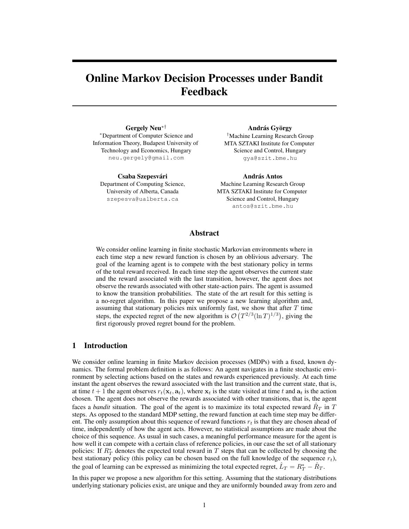# Online Markov Decision Processes under Bandit Feedback

Gergely Neu∗† <sup>∗</sup>Department of Computer Science and Information Theory, Budapest University of Technology and Economics, Hungary neu.gergely@gmail.com

Csaba Szepesvári Department of Computing Science, University of Alberta, Canada szepesva@ualberta.ca

András György †Machine Learning Research Group MTA SZTAKI Institute for Computer Science and Control, Hungary gya@szit.bme.hu

**András Antos** Machine Learning Research Group MTA SZTAKI Institute for Computer Science and Control, Hungary antos@szit.bme.hu

## Abstract

We consider online learning in finite stochastic Markovian environments where in each time step a new reward function is chosen by an oblivious adversary. The goal of the learning agent is to compete with the best stationary policy in terms of the total reward received. In each time step the agent observes the current state and the reward associated with the last transition, however, the agent does not observe the rewards associated with other state-action pairs. The agent is assumed to know the transition probabilities. The state of the art result for this setting is a no-regret algorithm. In this paper we propose a new learning algorithm and, assuming that stationary policies mix uniformly fast, we show that after  $T$  time steps, the expected regret of the new algorithm is  $\mathcal{O}(T^{2/3}(\ln T)^{1/3})$ , giving the first rigorously proved regret bound for the problem.

## 1 Introduction

We consider online learning in finite Markov decision processes (MDPs) with a fixed, known dynamics. The formal problem definition is as follows: An agent navigates in a finite stochastic environment by selecting actions based on the states and rewards experienced previously. At each time instant the agent observes the reward associated with the last transition and the current state, that is, at time  $t + 1$  the agent observes  $r_t(\mathbf{x}_t, \mathbf{a}_t)$ , where  $\mathbf{x}_t$  is the state visited at time t and  $\mathbf{a}_t$  is the action chosen. The agent does not observe the rewards associated with other transitions, that is, the agent faces a *bandit* situation. The goal of the agent is to maximize its total expected reward  $\hat{R}_T$  in T steps. As opposed to the standard MDP setting, the reward function at each time step may be different. The only assumption about this sequence of reward functions  $r_t$  is that they are chosen ahead of time, independently of how the agent acts. However, no statistical assumptions are made about the choice of this sequence. As usual in such cases, a meaningful performance measure for the agent is how well it can compete with a certain class of reference policies, in our case the set of all stationary policies: If  $R_T^*$  denotes the expected total reward in T steps that can be collected by choosing the best stationary policy (this policy can be chosen based on the full knowledge of the sequence  $r_t$ ), the goal of learning can be expressed as minimizing the total expected regret,  $\hat{L}_T = R_T^* - \hat{R}_T$ .

In this paper we propose a new algorithm for this setting. Assuming that the stationary distributions underlying stationary policies exist, are unique and they are uniformly bounded away from zero and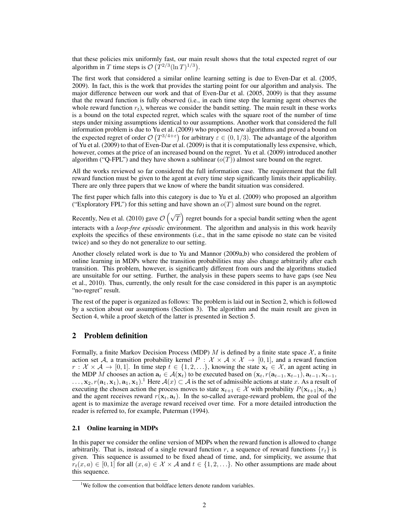that these policies mix uniformly fast, our main result shows that the total expected regret of our algorithm in T time steps is  $\mathcal{O}(T^{2/3}(\ln T)^{1/3})$ .

The first work that considered a similar online learning setting is due to Even-Dar et al. (2005, 2009). In fact, this is the work that provides the starting point for our algorithm and analysis. The major difference between our work and that of Even-Dar et al. (2005, 2009) is that they assume that the reward function is fully observed (i.e., in each time step the learning agent observes the whole reward function  $r_t$ ), whereas we consider the bandit setting. The main result in these works is a bound on the total expected regret, which scales with the square root of the number of time steps under mixing assumptions identical to our assumptions. Another work that considered the full information problem is due to Yu et al. (2009) who proposed new algorithms and proved a bound on the expected regret of order  $\mathcal{O}(T^{3/4+\epsilon})$  for arbitrary  $\varepsilon \in (0,1/3)$ . The advantage of the algorithm of Yu et al. (2009) to that of Even-Dar et al. (2009) is that it is computationally less expensive, which, however, comes at the price of an increased bound on the regret. Yu et al. (2009) introduced another algorithm ("Q-FPL") and they have shown a sublinear  $(o(T))$  almost sure bound on the regret.

All the works reviewed so far considered the full information case. The requirement that the full reward function must be given to the agent at every time step significantly limits their applicability. There are only three papers that we know of where the bandit situation was considered.

The first paper which falls into this category is due to Yu et al. (2009) who proposed an algorithm ("Exploratory FPL") for this setting and have shown an  $o(T)$  almost sure bound on the regret.

Recently, Neu et al. (2010) gave  $\mathcal{O}\left(\sqrt{T}\right)$  regret bounds for a special bandit setting when the agent interacts with a *loop-free episodic* environment. The algorithm and analysis in this work heavily exploits the specifics of these environments (i.e., that in the same episode no state can be visited twice) and so they do not generalize to our setting.

Another closely related work is due to Yu and Mannor (2009a,b) who considered the problem of online learning in MDPs where the transition probabilities may also change arbitrarily after each transition. This problem, however, is significantly different from ours and the algorithms studied are unsuitable for our setting. Further, the analysis in these papers seems to have gaps (see Neu et al., 2010). Thus, currently, the only result for the case considered in this paper is an asymptotic "no-regret" result.

The rest of the paper is organized as follows: The problem is laid out in Section 2, which is followed by a section about our assumptions (Section 3). The algorithm and the main result are given in Section 4, while a proof sketch of the latter is presented in Section 5.

# 2 Problem definition

Formally, a finite Markov Decision Process (MDP) M is defined by a finite state space  $\mathcal{X}$ , a finite action set A, a transition probability kernel  $P : \mathcal{X} \times \mathcal{A} \times \mathcal{X} \to [0, 1]$ , and a reward function  $r: \mathcal{X} \times \mathcal{A} \to [0, 1]$ . In time step  $t \in \{1, 2, \ldots\}$ , knowing the state  $\mathbf{x}_t \in \mathcal{X}$ , an agent acting in the MDP M chooses an action  $a_t \in A(x_t)$  to be executed based on  $(x_t, r(a_{t-1}, x_{t-1}), a_{t-1}, x_{t-1})$ ,  $\ldots, x_2, r(\mathbf{a}_1, \mathbf{x}_1), \mathbf{a}_1, \mathbf{x}_1)$ . Here  $\mathcal{A}(x) \subset \mathcal{A}$  is the set of admissible actions at state x. As a result of executing the chosen action the process moves to state  $x_{t+1} \in \mathcal{X}$  with probability  $P(x_{t+1} | x_t, a_t)$ and the agent receives reward  $r(\mathbf{x}_t, \mathbf{a}_t)$ . In the so-called average-reward problem, the goal of the agent is to maximize the average reward received over time. For a more detailed introduction the reader is referred to, for example, Puterman (1994).

#### 2.1 Online learning in MDPs

In this paper we consider the online version of MDPs when the reward function is allowed to change arbitrarily. That is, instead of a single reward function r, a sequence of reward functions  $\{r_t\}$  is given. This sequence is assumed to be fixed ahead of time, and, for simplicity, we assume that  $r_t(x, a) \in [0, 1]$  for all  $(x, a) \in \mathcal{X} \times \mathcal{A}$  and  $t \in \{1, 2, \ldots\}$ . No other assumptions are made about this sequence.

<sup>&</sup>lt;sup>1</sup>We follow the convention that boldface letters denote random variables.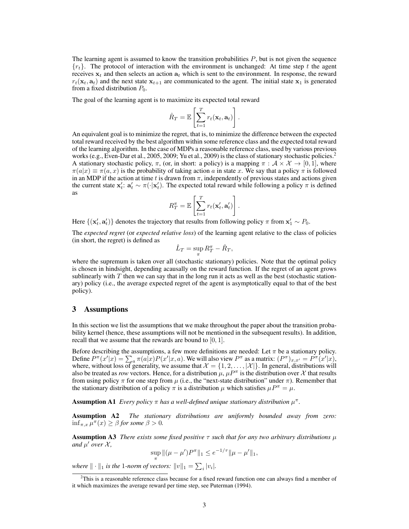The learning agent is assumed to know the transition probabilities  $P$ , but is not given the sequence  ${r_t}$ . The protocol of interaction with the environment is unchanged: At time step t the agent receives  $x_t$  and then selects an action  $a_t$  which is sent to the environment. In response, the reward  $r_t(\mathbf{x}_t, \mathbf{a}_t)$  and the next state  $\mathbf{x}_{t+1}$  are communicated to the agent. The initial state  $\mathbf{x}_1$  is generated from a fixed distribution  $P_0$ .

The goal of the learning agent is to maximize its expected total reward

$$
\hat{R}_T = \mathbb{E}\left[\sum_{t=1}^T r_t(\mathbf{x}_t, \mathbf{a}_t)\right].
$$

An equivalent goal is to minimize the regret, that is, to minimize the difference between the expected total reward received by the best algorithm within some reference class and the expected total reward of the learning algorithm. In the case of MDPs a reasonable reference class, used by various previous works (e.g., Even-Dar et al., 2005, 2009; Yu et al., 2009) is the class of stationary stochastic policies.<sup>2</sup> A stationary stochastic policy,  $\pi$ , (or, in short: a policy) is a mapping  $\pi : \mathcal{A} \times \mathcal{X} \to [0,1]$ , where  $\pi(a|x) \equiv \pi(a, x)$  is the probability of taking action a in state x. We say that a policy  $\pi$  is followed in an MDP if the action at time t is drawn from  $\pi$ , independently of previous states and actions given the current state  $x'_t: a'_t \sim \pi(\cdot | x'_t)$ . The expected total reward while following a policy  $\pi$  is defined as

$$
R_T^{\pi} = \mathbb{E}\left[\sum_{t=1}^T r_t(\mathbf{x}'_t, \mathbf{a}'_t)\right].
$$

Here  $\{(\mathbf{x}'_t, \mathbf{a}'_t)\}\)$  denotes the trajectory that results from following policy  $\pi$  from  $\mathbf{x}'_1 \sim P_0$ .

The *expected regret* (or *expected relative loss*) of the learning agent relative to the class of policies (in short, the regret) is defined as

$$
\hat{L}_T = \sup_{\pi} R_T^{\pi} - \hat{R}_T,
$$

where the supremum is taken over all (stochastic stationary) policies. Note that the optimal policy is chosen in hindsight, depending acausally on the reward function. If the regret of an agent grows sublinearly with  $T$  then we can say that in the long run it acts as well as the best (stochastic stationary) policy (i.e., the average expected regret of the agent is asymptotically equal to that of the best policy).

## 3 Assumptions

In this section we list the assumptions that we make throughout the paper about the transition probability kernel (hence, these assumptions will not be mentioned in the subsequent results). In addition, recall that we assume that the rewards are bound to  $[0, 1]$ .

Before describing the assumptions, a few more definitions are needed: Let  $\pi$  be a stationary policy. Define  $P^{\pi}(x'|x) = \sum_a \pi(a|x)P(x'|x, a)$ . We will also view  $P^{\pi}$  as a matrix:  $(P^{\pi})_{x,x'} = P^{\pi}(x'|x)$ , where, without loss of generality, we assume that  $\mathcal{X} = \{1, 2, \ldots, |\mathcal{X}|\}$ . In general, distributions will also be treated as *row* vectors. Hence, for a distribution  $\mu$ ,  $\mu^{T}$  is the distribution over X that results from using policy  $\pi$  for one step from  $\mu$  (i.e., the "next-state distribution" under  $\pi$ ). Remember that the stationary distribution of a policy  $\pi$  is a distribution  $\mu$  which satisfies  $\mu P^{\pi} = \mu$ .

**Assumption A1** *Every policy*  $\pi$  *has a well-defined unique stationary distribution*  $\mu^{\pi}$ *.* 

Assumption A2 *The stationary distributions are uniformly bounded away from zero:*  $\inf_{\pi,x}\tilde{\mu}^\pi(x)\geq \beta$  for some  $\beta>0$ .

**Assumption A3** *There exists some fixed positive*  $\tau$  *such that for any two arbitrary distributions*  $\mu$ and  $\mu'$  over  $\mathcal{X}$ *,* 

$$
\sup_{\pi} \| (\mu - \mu') P^{\pi} \|_1 \le e^{-1/\tau} \| \mu - \mu' \|_1,
$$

where  $\|\cdot\|_1$  is the 1*-norm of vectors:*  $\|v\|_1 = \sum_i |v_i|$ .

 $2$ This is a reasonable reference class because for a fixed reward function one can always find a member of it which maximizes the average reward per time step, see Puterman (1994).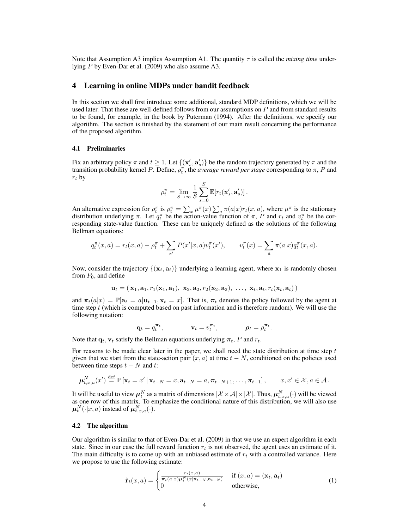Note that Assumption A3 implies Assumption A1. The quantity  $\tau$  is called the *mixing time* underlying P by Even-Dar et al. (2009) who also assume A3.

## 4 Learning in online MDPs under bandit feedback

In this section we shall first introduce some additional, standard MDP definitions, which we will be used later. That these are well-defined follows from our assumptions on  $P$  and from standard results to be found, for example, in the book by Puterman (1994). After the definitions, we specify our algorithm. The section is finished by the statement of our main result concerning the performance of the proposed algorithm.

#### 4.1 Preliminaries

Fix an arbitrary policy  $\pi$  and  $t \geq 1$ . Let  $\{(\mathbf{x}'_s, \mathbf{a}'_s)\}\$  be the random trajectory generated by  $\pi$  and the transition probability kernel P. Define,  $\rho_t^{\pi}$ , the *average reward per stage* corresponding to  $\pi$ , P and  $r_t$  by

$$
\rho_t^{\pi} = \lim_{S \to \infty} \frac{1}{S} \sum_{s=0}^{S} \mathbb{E}[r_t(\mathbf{x}'_s, \mathbf{a}'_s)].
$$

An alternative expression for  $\rho_t^{\pi}$  is  $\rho_t^{\pi} = \sum_x \mu^{\pi}(x) \sum_a \pi(a|x) r_t(x, a)$ , where  $\mu^{\pi}$  is the stationary distribution underlying  $\pi$ . Let  $q_t^{\pi}$  be the action-value function of  $\pi$ , P and  $r_t$  and  $v_t^{\pi}$  be the corresponding state-value function. These can be uniquely defined as the solutions of the following Bellman equations:

$$
q_t^{\pi}(x, a) = r_t(x, a) - \rho_t^{\pi} + \sum_{x'} P(x'|x, a) v_t^{\pi}(x'), \qquad v_t^{\pi}(x) = \sum_a \pi(a|x) q_t^{\pi}(x, a).
$$

Now, consider the trajectory  $\{(\mathbf{x}_t, \mathbf{a}_t)\}\$  underlying a learning agent, where  $\mathbf{x}_1$  is randomly chosen from  $P_0$ , and define

$$
\mathbf{u}_t = (\mathbf{x}_1, \mathbf{a}_1, r_1(\mathbf{x}_1, \mathbf{a}_1), \mathbf{x}_2, \mathbf{a}_2, r_2(\mathbf{x}_2, \mathbf{a}_2), \ldots, \mathbf{x}_t, \mathbf{a}_t, r_t(\mathbf{x}_t, \mathbf{a}_t))
$$

and  $\pi_t(a|x) = \mathbb{P}[a_t = a | u_{t-1}, x_t = x]$ . That is,  $\pi_t$  denotes the policy followed by the agent at time step  $t$  (which is computed based on past information and is therefore random). We will use the following notation:

$$
\mathbf{q}_t = q_t^{\boldsymbol{\pi}_t}, \qquad \qquad \mathbf{v}_t = v_t^{\boldsymbol{\pi}_t}, \qquad \qquad \boldsymbol{\rho}_t = \rho_t^{\boldsymbol{\pi}_t}.
$$

Note that  $q_t$ ,  $v_t$  satisfy the Bellman equations underlying  $\pi_t$ , P and  $r_t$ .

For reasons to be made clear later in the paper, we shall need the state distribution at time step  $t$ given that we start from the state-action pair  $(x, a)$  at time  $t - N$ , conditioned on the policies used between time steps  $t - N$  and t:

$$
\boldsymbol{\mu}_{t,x,a}^N(x') \stackrel{\text{def}}{=} \mathbb{P}\left[\mathbf{x}_t = x' \,|\, \mathbf{x}_{t-N} = x, \mathbf{a}_{t-N} = a, \boldsymbol{\pi}_{t-N+1}, \ldots, \boldsymbol{\pi}_{t-1}\right], \qquad x, x' \in \mathcal{X}, a \in \mathcal{A}.
$$

It will be useful to view  $\mu_t^N$  as a matrix of dimensions  $|\mathcal{X}\times\mathcal{A}|\times|\mathcal{X}|$ . Thus,  $\mu_{t,x,a}^N(\cdot)$  will be viewed as one row of this matrix. To emphasize the conditional nature of this distribution, we will also use  $\boldsymbol{\mu}_t^N(\cdot|x,a)$  instead of  $\boldsymbol{\mu}_{t,x,a}^N(\cdot)$ .

#### 4.2 The algorithm

Our algorithm is similar to that of Even-Dar et al. (2009) in that we use an expert algorithm in each state. Since in our case the full reward function  $r_t$  is not observed, the agent uses an estimate of it. The main difficulty is to come up with an unbiased estimate of  $r_t$  with a controlled variance. Here we propose to use the following estimate:

$$
\hat{\mathbf{r}}_t(x,a) = \begin{cases}\n\frac{r_t(x,a)}{\pi_t(a|x)\mu_t^N(x|\mathbf{x}_{t-N},\mathbf{a}_{t-N})} & \text{if } (x,a) = (\mathbf{x}_t, \mathbf{a}_t) \\
0 & \text{otherwise,} \n\end{cases}
$$
\n(1)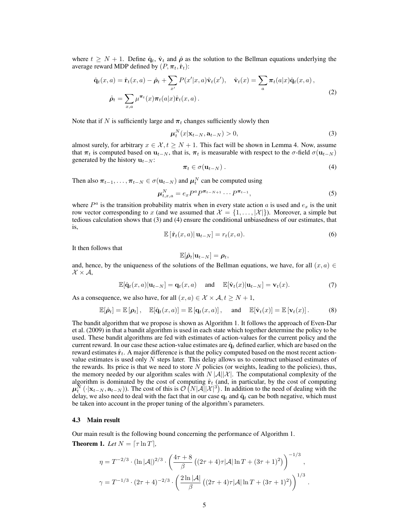where  $t \geq N + 1$ . Define  $\hat{q}_t$ ,  $\hat{v}_t$  and  $\hat{\rho}$  as the solution to the Bellman equations underlying the average reward MDP defined by  $(P, \pi_t, \hat{r}_t)$ :

$$
\hat{\mathbf{q}}_t(x,a) = \hat{\mathbf{r}}_t(x,a) - \hat{\boldsymbol{\rho}}_t + \sum_{x'} P(x'|x,a)\hat{\mathbf{v}}_t(x'), \quad \hat{\mathbf{v}}_t(x) = \sum_a \pi_t(a|x)\hat{\mathbf{q}}_t(x,a),
$$
\n
$$
\hat{\boldsymbol{\rho}}_t = \sum_{x,a} \mu^{\pi_t}(x)\pi_t(a|x)\hat{\mathbf{r}}_t(x,a).
$$
\n(2)

Note that if N is sufficiently large and  $\pi_t$  changes sufficiently slowly then

$$
\mu_t^N(x|\mathbf{x}_{t-N}, \mathbf{a}_{t-N}) > 0,
$$
\n(3)

almost surely, for arbitrary  $x \in \mathcal{X}, t \geq N + 1$ . This fact will be shown in Lemma 4. Now, assume that  $\pi_t$  is computed based on  $\mathbf{u}_{t-N}$ , that is,  $\pi_t$  is measurable with respect to the  $\sigma$ -field  $\sigma(\mathbf{u}_{t-N})$ generated by the history  $u_{t-N}$ :

$$
\boldsymbol{\pi}_t \in \sigma(\mathbf{u}_{t-N}) \,. \tag{4}
$$

Then also  $\pi_{t-1}, \ldots, \pi_{t-N} \in \sigma(\mathbf{u}_{t-N})$  and  $\boldsymbol{\mu}_t^N$  can be computed using

$$
\mu_{t,x,a}^N = e_x P^a P^{\pi_{t-N+1}} \cdots P^{\pi_{t-1}},
$$
\n(5)

where  $P^a$  is the transition probability matrix when in every state action a is used and  $e_x$  is the unit row vector corresponding to x (and we assumed that  $\mathcal{X} = \{1, \ldots, |\mathcal{X}|\}$ ). Moreover, a simple but tedious calculation shows that (3) and (4) ensure the conditional unbiasedness of our estimates, that is,

$$
\mathbb{E}\left[\hat{\mathbf{r}}_t(x,a)\right|\mathbf{u}_{t-N}]=r_t(x,a). \tag{6}
$$

It then follows that

$$
\mathbb{E}[\hat{\boldsymbol{\rho}}_t | \mathbf{u}_{t-N}] = \boldsymbol{\rho}_t,
$$

and, hence, by the uniqueness of the solutions of the Bellman equations, we have, for all  $(x, a) \in$  $\mathcal{X} \times \mathcal{A}$ 

$$
\mathbb{E}[\hat{\mathbf{q}}_t(x,a)|\mathbf{u}_{t-N}] = \mathbf{q}_t(x,a) \quad \text{and} \quad \mathbb{E}[\hat{\mathbf{v}}_t(x)|\mathbf{u}_{t-N}] = \mathbf{v}_t(x). \tag{7}
$$

As a consequence, we also have, for all  $(x, a) \in \mathcal{X} \times \mathcal{A}, t \geq N + 1$ ,

$$
\mathbb{E}[\hat{\boldsymbol{\rho}}_t] = \mathbb{E}[\boldsymbol{\rho}_t], \quad \mathbb{E}[\hat{\mathbf{q}}_t(x,a)] = \mathbb{E}[\mathbf{q}_t(x,a)], \quad \text{and} \quad \mathbb{E}[\hat{\mathbf{v}}_t(x)] = \mathbb{E}[\mathbf{v}_t(x)]. \tag{8}
$$

The bandit algorithm that we propose is shown as Algorithm 1. It follows the approach of Even-Dar et al. (2009) in that a bandit algorithm is used in each state which together determine the policy to be used. These bandit algorithms are fed with estimates of action-values for the current policy and the current reward. In our case these action-value estimates are  $\hat{q}_t$  defined earlier, which are based on the reward estimates  $\hat{\mathbf{r}}_t$ . A major difference is that the policy computed based on the most recent actionvalue estimates is used only  $N$  steps later. This delay allows us to construct unbiased estimates of the rewards. Its price is that we need to store N policies (or weights, leading to the policies), thus, the memory needed by our algorithm scales with  $N |\mathcal{A}||\mathcal{X}|$ . The computational complexity of the algorithm is dominated by the cost of computing  $\hat{r}_t$  (and, in particular, by the cost of computing  $\mu_t^N(\cdot|\mathbf{x}_{t-N},\mathbf{a}_{t-N})$ ). The cost of this is  $\mathcal{O}(N|\mathcal{A}||\mathcal{X}|^3)$ . In addition to the need of dealing with the delay, we also need to deal with the fact that in our case  $q_t$  and  $\hat{q}_t$  can be both negative, which must be taken into account in the proper tuning of the algorithm's parameters.

#### 4.3 Main result

Our main result is the following bound concerning the performance of Algorithm 1.

**Theorem 1.** *Let*  $N = \lceil \tau \ln T \rceil$ *,* 

$$
\eta = T^{-2/3} \cdot (\ln |\mathcal{A}|)^{2/3} \cdot \left( \frac{4\tau + 8}{\beta} \left( (2\tau + 4)\tau |\mathcal{A}| \ln T + (3\tau + 1)^2 \right) \right)^{-1/3},
$$
  

$$
\gamma = T^{-1/3} \cdot (2\tau + 4)^{-2/3} \cdot \left( \frac{2\ln |\mathcal{A}|}{\beta} \left( (2\tau + 4)\tau |\mathcal{A}| \ln T + (3\tau + 1)^2 \right) \right)^{1/3}.
$$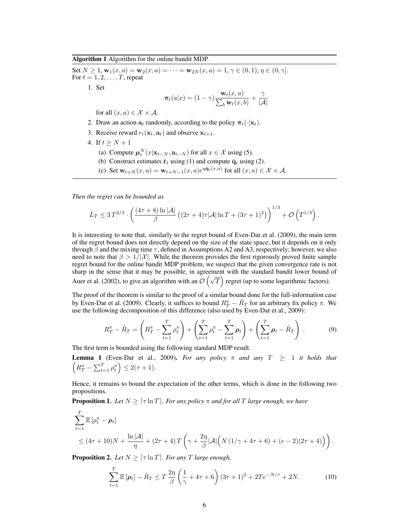Algorithm 1 Algorithm for the online bandit MDP.

Set  $N \ge 1$ ,  $\mathbf{w}_1(x, a) = \mathbf{w}_2(x, a) = \cdots = \mathbf{w}_{2N}(x, a) = 1, \gamma \in (0, 1), \eta \in (0, \gamma]$ . For  $t = 1, 2, \ldots, T$ , repeat 1. Set  $\pi_t(a|x) = (1-\gamma) \frac{\mathbf{w}_t(x,a)}{\sum_{x} \mathbf{w}_t(x,a)}$  $\frac{\mathbf{w}_t(x,a)}{\sum_b \mathbf{w}_t(x,b)} + \frac{\gamma}{|\mathcal{A}|}$  $|\mathcal{A}|$ for all  $(x, a) \in \mathcal{X} \times \mathcal{A}$ . 2. Draw an action  $\mathbf{a}_t$  randomly, according to the policy  $\pi_t(\cdot|\mathbf{x}_t)$ . 3. Receive reward  $r_t(\mathbf{x}_t, \mathbf{a}_t)$  and observe  $\mathbf{x}_{t+1}$ . 4. If  $t > N + 1$ 

- (a) Compute  $\mu_t^N(x|\mathbf{x}_{t-N}, \mathbf{a}_{t-N})$  for all  $x \in \mathcal{X}$  using (5).
- (b) Construct estimates  $\hat{\mathbf{r}}_t$  using (1) and compute  $\hat{\mathbf{q}}_t$  using (2).
- (c) Set  $\mathbf{w}_{t+N}(x, a) = \mathbf{w}_{t+N-1}(x, a) e^{\eta \hat{\mathbf{q}}_t(x, a)}$  for all  $(x, a) \in \mathcal{X} \times \mathcal{A}$ .

*Then the regret can be bounded as*

$$
\hat{L}_T \leq 3 T^{2/3} \cdot \left( \frac{(4\tau + 8) \ln |\mathcal{A}|}{\beta} \left( (2\tau + 4)\tau |\mathcal{A}| \ln T + (3\tau + 1)^2 \right) \right)^{1/3} + \mathcal{O} \left( T^{1/3} \right).
$$

It is interesting to note that, similarly to the regret bound of Even-Dar et al. (2009), the main term of the regret bound does not directly depend on the size of the state space, but it depends on it only through  $\beta$  and the mixing time  $\tau$ , defined in Assumptions A2 and A3, respectively; however, we also need to note that  $\beta > 1/|\mathcal{X}|$ . While the theorem provides the first rigorously proved finite sample regret bound for the online bandit MDP problem, we suspect that the given convergence rate is not sharp in the sense that it may be possible, in agreement with the standard bandit lower bound of Auer et al. (2002), to give an algorithm with an  $\mathcal{O}(\sqrt{T})$  regret (up to some logarithmic factors).

The proof of the theorem is similar to the proof of a similar bound done for the full-information case by Even-Dar et al. (2009). Clearly, it suffices to bound  $R_T^{\pi} - \hat{R}_T$  for an arbitrary fix policy  $\pi$ . We use the following decomposition of this difference (also used by Even-Dar et al., 2009):

$$
R_T^{\pi} - \hat{R}_T = \left(R_T^{\pi} - \sum_{t=1}^T \rho_t^{\pi}\right) + \left(\sum_{t=1}^T \rho_t^{\pi} - \sum_{t=1}^T \rho_t\right) + \left(\sum_{t=1}^T \rho_t - \hat{R}_T\right).
$$
(9)

The first term is bounded using the following standard MDP result.

**Lemma 1** (Even-Dar et al., 2009). For any policy  $\pi$  and any  $T \geq 1$  it holds that  $\left(R_T^{\pi} - \sum_{t=1}^T \rho_t^{\pi}\right) \leq 2(\tau + 1).$ 

Hence, it remains to bound the expectation of the other terms, which is done in the following two propositions.

**Proposition 1.** Let  $N \geq \lceil \tau \ln T \rceil$ . For any policy  $\pi$  and for all T large enough, we have

$$
\sum_{t=1}^{T} \mathbb{E} \left[ \rho_t^{\pi} - \rho_t \right]
$$
\n
$$
\leq (4\tau + 10)N + \frac{\ln |\mathcal{A}|}{\eta} + (2\tau + 4)T \left( \gamma + \frac{2\eta}{\beta} |\mathcal{A}| \left( N \left( 1/\gamma + 4\tau + 6 \right) + (e - 2)(2\tau + 4) \right) \right).
$$

**Proposition 2.** Let  $N \geq \lceil \tau \ln T \rceil$ . For any T large enough,

$$
\sum_{t=1}^{T} \mathbb{E} \left[ \rho_t \right] - \hat{R}_T \le T \frac{2\eta}{\beta} \left( \frac{1}{\gamma} + 4\tau + 6 \right) (3\tau + 1)^2 + 2Te^{-N/\tau} + 2N. \tag{10}
$$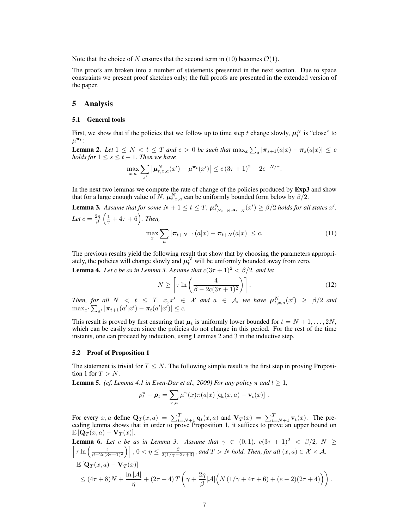Note that the choice of N ensures that the second term in (10) becomes  $\mathcal{O}(1)$ .

The proofs are broken into a number of statements presented in the next section. Due to space constraints we present proof sketches only; the full proofs are presented in the extended version of the paper.

## 5 Analysis

#### 5.1 General tools

First, we show that if the policies that we follow up to time step t change slowly,  $\mu_t^N$  is "close" to  $\mu^{\boldsymbol{\pi}_t}$ :

**Lemma 2.** Let  $1 \leq N < t \leq T$  and  $c > 0$  be such that  $\max_x \sum_a |\pi_{s+1}(a|x) - \pi_s(a|x)| \leq c$ *holds for*  $1 \leq s \leq t - 1$ *. Then we have* 

$$
\max_{x,a} \sum_{x'} |\mu^N_{t,x,a}(x') - \mu^{\pi_t}(x')| \le c (3\tau + 1)^2 + 2e^{-N/\tau}.
$$

In the next two lemmas we compute the rate of change of the policies produced by **Exp3** and show that for a large enough value of N,  $\boldsymbol{\mu}_{t,x,a}^N$  can be uniformly bounded form below by  $\beta$ /2.

**Lemma 3.** Assume that for some  $N + 1 \le t \le T$ ,  $\boldsymbol{\mu}_{t, \mathbf{x}_{t-N}, \mathbf{a}_{t-N}}^N(x') \ge \beta/2$  holds for all states  $x'$ . Let  $c = \frac{2\eta}{\beta} \left( \frac{1}{\gamma} + 4\tau + 6 \right)$ . Then,

$$
\max_{x} \sum_{a} |\pi_{t+N-1}(a|x) - \pi_{t+N}(a|x)| \leq c.
$$
 (11)

The previous results yield the following result that show that by choosing the parameters appropriately, the policies will change slowly and  $\mu_t^N$  will be uniformly bounded away from zero.

**Lemma 4.** Let *c* be as in Lemma 3. Assume that  $c(3\tau + 1)^2 < \beta/2$ , and let

$$
N \ge \left[ \tau \ln \left( \frac{4}{\beta - 2c(3\tau + 1)^2} \right) \right].
$$
 (12)

Then, for all  $N < t \leq T$ ,  $x, x' \in \mathcal{X}$  and  $a \in \mathcal{A}$ , we have  $\boldsymbol{\mu}_{t,x,a}^N(x') \geq \beta/2$  and  $\max_{x'} \sum_{a'} |\pi_{t+1}(a'|x') - \pi_t(a'|x')| \leq c.$ 

This result is proved by first ensuring that  $\mu_t$  is uniformly lower bounded for  $t = N + 1, \ldots, 2N$ , which can be easily seen since the policies do not change in this period. For the rest of the time instants, one can proceed by induction, using Lemmas 2 and 3 in the inductive step.

#### 5.2 Proof of Proposition 1

The statement is trivial for  $T \leq N$ . The following simple result is the first step in proving Proposition 1 for  $T > N$ .

**Lemma 5.** *(cf. Lemma 4.1 in Even-Dar et al., 2009) For any policy*  $\pi$  *and*  $t \ge 1$ *,* 

$$
\rho_t^{\pi} - \rho_t = \sum_{x,a} \mu^{\pi}(x) \pi(a|x) \left[ \mathbf{q}_t(x,a) - \mathbf{v}_t(x) \right] .
$$

For every x, a define  $\mathbf{Q}_T(x, a) = \sum_{t=N+1}^T \mathbf{q}_t(x, a)$  and  $\mathbf{V}_T(x) = \sum_{t=N+1}^T \mathbf{v}_t(x)$ . The preceding lemma shows that in order to prove Proposition 1, it suffices to prove an upper bound on  $\mathbb{E} [\mathbf{Q}_T(x,a) - \mathbf{V}_T(x)].$ 

**Lemma 6.** Let c be as in Lemma 3. Assume that 
$$
\gamma \in (0,1)
$$
,  $c(3\tau + 1)^2 < \beta/2$ ,  $N \ge \lceil \tau \ln \left( \frac{4}{\beta - 2c(3\tau + 1)^2} \right) \rceil$ ,  $0 < \eta \le \frac{\beta}{2(1/\gamma + 2\tau + 3)}$ , and  $T > N$  hold. Then, for all  $(x, a) \in \mathcal{X} \times \mathcal{A}$ ,  
\n $\mathbb{E}[\mathbf{Q}_T(x, a) - \mathbf{V}_T(x)]$   
\n $\le (4\tau + 8)N + \frac{\ln |\mathcal{A}|}{\eta} + (2\tau + 4)T \left( \gamma + \frac{2\eta}{\beta} |\mathcal{A}| \left( N(1/\gamma + 4\tau + 6) + (e - 2)(2\tau + 4) \right) \right).$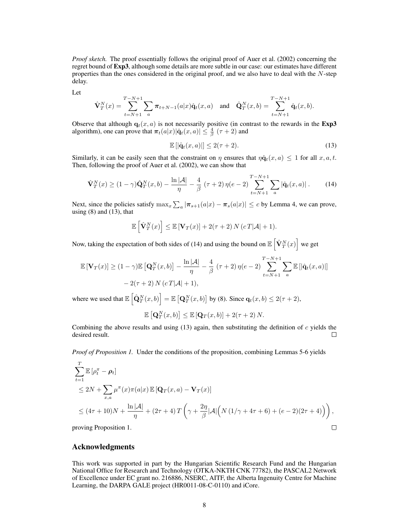*Proof sketch.* The proof essentially follows the original proof of Auer et al. (2002) concerning the regret bound of **Exp3**, although some details are more subtle in our case: our estimates have different properties than the ones considered in the original proof, and we also have to deal with the  $N$ -step delay.

Let

$$
\hat{\mathbf{V}}_T^N(x) = \sum_{t=N+1}^{T-N+1} \sum_a \pi_{t+N-1}(a|x) \hat{\mathbf{q}}_t(x,a) \text{ and } \hat{\mathbf{Q}}_T^N(x,b) = \sum_{t=N+1}^{T-N+1} \hat{\mathbf{q}}_t(x,b).
$$

Observe that although  $q_t(x, a)$  is not necessarily positive (in contrast to the rewards in the Exp3 algorithm), one can prove that  $\pi_t(a|x)|\hat{q}_t(x,a)| \leq \frac{4}{\beta}(\tau+2)$  and

$$
\mathbb{E}\left[\left|\hat{\mathbf{q}}_t(x,a)\right|\right] \le 2(\tau+2). \tag{13}
$$

Similarly, it can be easily seen that the constraint on  $\eta$  ensures that  $\eta \hat{\mathbf{q}}_t(x, a) \leq 1$  for all  $x, a, t$ . Then, following the proof of Auer et al. (2002), we can show that

$$
\hat{\mathbf{V}}_T^N(x) \ge (1 - \gamma) \hat{\mathbf{Q}}_T^N(x, b) - \frac{\ln|\mathcal{A}|}{\eta} - \frac{4}{\beta} (\tau + 2) \eta(e - 2) \sum_{t=N+1}^{T-N+1} \sum_a |\hat{\mathbf{q}}_t(x, a)|. \tag{14}
$$

Next, since the policies satisfy  $\max_x \sum_a |\pi_{s+1}(a|x) - \pi_s(a|x)| \leq c$  by Lemma 4, we can prove, using  $(8)$  and  $(13)$ , that

$$
\mathbb{E}\left[\hat{\mathbf{V}}_T^N(x)\right] \leq \mathbb{E}\left[\mathbf{V}_T(x)\right] + 2(\tau+2) N (c \, T|\mathcal{A}|+1).
$$

Now, taking the expectation of both sides of (14) and using the bound on  $\mathbb{E} \left[ \hat{\mathbf{V}}_T^N(x) \right]$  we get

$$
\mathbb{E}\left[\mathbf{V}_T(x)\right] \ge (1-\gamma)\mathbb{E}\left[\mathbf{Q}_T^N(x,b)\right] - \frac{\ln|\mathcal{A}|}{\eta} - \frac{4}{\beta}(\tau+2)\,\eta(e-2)\sum_{t=N+1}^{T-N+1}\sum_a \mathbb{E}\left[\left|\hat{\mathbf{q}}_t(x,a)\right|\right] - 2(\tau+2)\,N\,(c\,T|\mathcal{A}|+1),
$$

where we used that  $\mathbb{E}\left[\hat{\mathbf{Q}}_T^N(x,b)\right] = \mathbb{E}\left[\mathbf{Q}_T^N(x,b)\right]$  by (8). Since  $\mathbf{q}_t(x,b) \le 2(\tau+2)$ ,

$$
\mathbb{E}\left[\mathbf{Q}_T^N(x,b)\right] \leq \mathbb{E}\left[\mathbf{Q}_T(x,b)\right] + 2(\tau+2)N.
$$

Combining the above results and using  $(13)$  again, then substituting the definition of c yields the desired result.  $\Box$ 

*Proof of Proposition 1.* Under the conditions of the proposition, combining Lemmas 5-6 yields

$$
\sum_{t=1}^{T} \mathbb{E} \left[ \rho_t^{\pi} - \rho_t \right]
$$
\n
$$
\leq 2N + \sum_{x,a} \mu^{\pi}(x) \pi(a|x) \mathbb{E} \left[ \mathbf{Q}_T(x, a) - \mathbf{V}_T(x) \right]
$$
\n
$$
\leq (4\tau + 10)N + \frac{\ln |\mathcal{A}|}{\eta} + (2\tau + 4)T \left( \gamma + \frac{2\eta}{\beta} |\mathcal{A}| \left( N \left( 1/\gamma + 4\tau + 6 \right) + (e - 2)(2\tau + 4) \right) \right),
$$
\n
$$
\text{proving Proposition 1.}
$$

proving Proposition 1.

### Acknowledgments

This work was supported in part by the Hungarian Scientific Research Fund and the Hungarian National Office for Research and Technology (OTKA-NKTH CNK 77782), the PASCAL2 Network of Excellence under EC grant no. 216886, NSERC, AITF, the Alberta Ingenuity Centre for Machine Learning, the DARPA GALE project (HR0011-08-C-0110) and iCore.